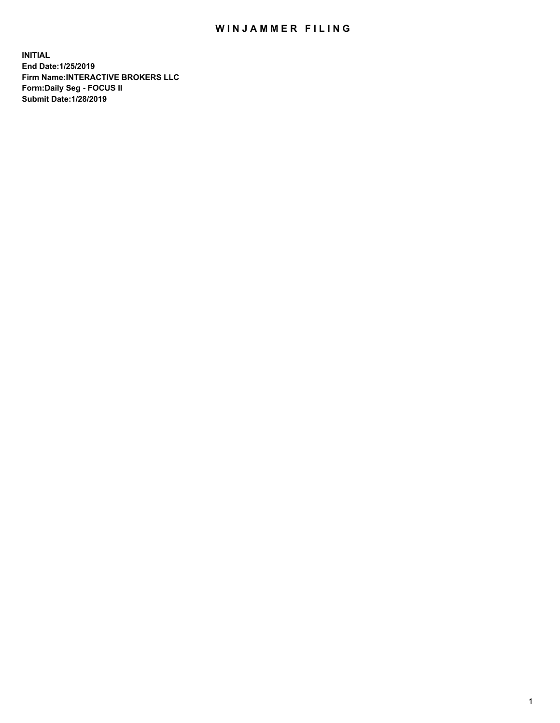## WIN JAMMER FILING

**INITIAL End Date:1/25/2019 Firm Name:INTERACTIVE BROKERS LLC Form:Daily Seg - FOCUS II Submit Date:1/28/2019**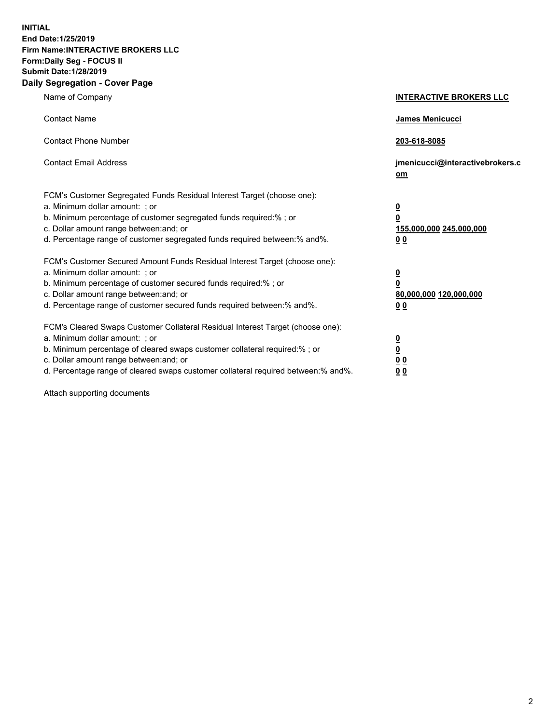**INITIAL End Date:1/25/2019 Firm Name:INTERACTIVE BROKERS LLC Form:Daily Seg - FOCUS II Submit Date:1/28/2019 Daily Segregation - Cover Page**

| Name of Company                                                                                                                                                                                                                                                                                                                | <b>INTERACTIVE BROKERS LLC</b>                                                                           |
|--------------------------------------------------------------------------------------------------------------------------------------------------------------------------------------------------------------------------------------------------------------------------------------------------------------------------------|----------------------------------------------------------------------------------------------------------|
| <b>Contact Name</b>                                                                                                                                                                                                                                                                                                            | James Menicucci                                                                                          |
| <b>Contact Phone Number</b>                                                                                                                                                                                                                                                                                                    | 203-618-8085                                                                                             |
| <b>Contact Email Address</b>                                                                                                                                                                                                                                                                                                   | jmenicucci@interactivebrokers.c<br>om                                                                    |
| FCM's Customer Segregated Funds Residual Interest Target (choose one):<br>a. Minimum dollar amount: ; or<br>b. Minimum percentage of customer segregated funds required:% ; or<br>c. Dollar amount range between: and; or<br>d. Percentage range of customer segregated funds required between:% and%.                         | <u>0</u><br>$\overline{\mathbf{0}}$<br>155,000,000 245,000,000<br>0 <sub>0</sub>                         |
| FCM's Customer Secured Amount Funds Residual Interest Target (choose one):<br>a. Minimum dollar amount: ; or<br>b. Minimum percentage of customer secured funds required:%; or<br>c. Dollar amount range between: and; or<br>d. Percentage range of customer secured funds required between:% and%.                            | <u>0</u><br>$\overline{\mathbf{0}}$<br>80,000,000 120,000,000<br><u>00</u>                               |
| FCM's Cleared Swaps Customer Collateral Residual Interest Target (choose one):<br>a. Minimum dollar amount: ; or<br>b. Minimum percentage of cleared swaps customer collateral required:% ; or<br>c. Dollar amount range between: and; or<br>d. Percentage range of cleared swaps customer collateral required between:% and%. | $\overline{\mathbf{0}}$<br>$\underline{\mathbf{0}}$<br>$\underline{0}$ $\underline{0}$<br>0 <sub>0</sub> |

Attach supporting documents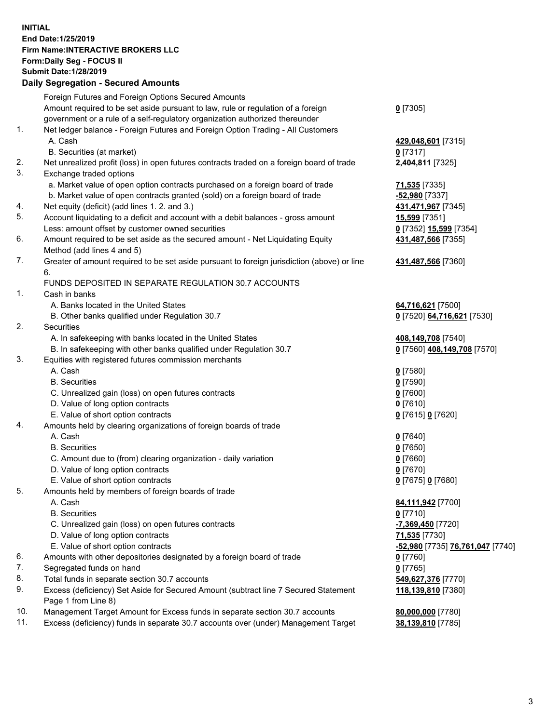## **INITIAL End Date:1/25/2019 Firm Name:INTERACTIVE BROKERS LLC Form:Daily Seg - FOCUS II Submit Date:1/28/2019 Daily Segregation - Secured Amounts**

|     | Daily Jegregation - Jeculed Aniounts                                                        |                                                   |
|-----|---------------------------------------------------------------------------------------------|---------------------------------------------------|
|     | Foreign Futures and Foreign Options Secured Amounts                                         |                                                   |
|     | Amount required to be set aside pursuant to law, rule or regulation of a foreign            | $0$ [7305]                                        |
|     | government or a rule of a self-regulatory organization authorized thereunder                |                                                   |
| 1.  | Net ledger balance - Foreign Futures and Foreign Option Trading - All Customers             |                                                   |
|     | A. Cash                                                                                     | 429,048,601 [7315]                                |
|     | B. Securities (at market)                                                                   | $0$ [7317]                                        |
| 2.  | Net unrealized profit (loss) in open futures contracts traded on a foreign board of trade   | 2,404,811 [7325]                                  |
| 3.  | Exchange traded options                                                                     |                                                   |
|     | a. Market value of open option contracts purchased on a foreign board of trade              | 71,535 [7335]                                     |
|     | b. Market value of open contracts granted (sold) on a foreign board of trade                | $-52,980$ [7337]                                  |
| 4.  | Net equity (deficit) (add lines 1. 2. and 3.)                                               | 431,471,967 [7345]                                |
| 5.  | Account liquidating to a deficit and account with a debit balances - gross amount           | 15,599 [7351]                                     |
|     | Less: amount offset by customer owned securities                                            | 0 [7352] 15,599 [7354]                            |
| 6.  | Amount required to be set aside as the secured amount - Net Liquidating Equity              | 431,487,566 [7355]                                |
|     | Method (add lines 4 and 5)                                                                  |                                                   |
| 7.  | Greater of amount required to be set aside pursuant to foreign jurisdiction (above) or line | 431,487,566 [7360]                                |
|     | 6.                                                                                          |                                                   |
|     | FUNDS DEPOSITED IN SEPARATE REGULATION 30.7 ACCOUNTS                                        |                                                   |
| 1.  | Cash in banks                                                                               |                                                   |
|     | A. Banks located in the United States                                                       | 64,716,621 [7500]                                 |
|     | B. Other banks qualified under Regulation 30.7                                              | 0 [7520] 64,716,621 [7530]                        |
| 2.  | Securities                                                                                  |                                                   |
|     | A. In safekeeping with banks located in the United States                                   | 408,149,708 [7540]                                |
|     | B. In safekeeping with other banks qualified under Regulation 30.7                          | 0 [7560] 408,149,708 [7570]                       |
| 3.  | Equities with registered futures commission merchants                                       |                                                   |
|     | A. Cash                                                                                     | $0$ [7580]                                        |
|     | <b>B.</b> Securities                                                                        | $0$ [7590]                                        |
|     | C. Unrealized gain (loss) on open futures contracts                                         | $0$ [7600]                                        |
|     | D. Value of long option contracts                                                           | $0$ [7610]                                        |
|     | E. Value of short option contracts                                                          | 0 [7615] 0 [7620]                                 |
| 4.  | Amounts held by clearing organizations of foreign boards of trade                           |                                                   |
|     | A. Cash                                                                                     | $0$ [7640]                                        |
|     | <b>B.</b> Securities                                                                        | $0$ [7650]                                        |
|     | C. Amount due to (from) clearing organization - daily variation                             | $0$ [7660]                                        |
|     | D. Value of long option contracts                                                           | $0$ [7670]                                        |
|     | E. Value of short option contracts                                                          | 0 [7675] 0 [7680]                                 |
| 5.  | Amounts held by members of foreign boards of trade                                          |                                                   |
|     | A. Cash<br><b>B.</b> Securities                                                             | 84,111,942 [7700]                                 |
|     | C. Unrealized gain (loss) on open futures contracts                                         | $0$ [7710]<br>-7,369,450 [7720]                   |
|     | D. Value of long option contracts                                                           |                                                   |
|     | E. Value of short option contracts                                                          | 71,535 [7730]<br>-52,980 [7735] 76,761,047 [7740] |
| 6.  | Amounts with other depositories designated by a foreign board of trade                      |                                                   |
| 7.  | Segregated funds on hand                                                                    | 0 [7760]<br>$0$ [7765]                            |
| 8.  | Total funds in separate section 30.7 accounts                                               | 549,627,376 [7770]                                |
| 9.  | Excess (deficiency) Set Aside for Secured Amount (subtract line 7 Secured Statement         | 118,139,810 [7380]                                |
|     | Page 1 from Line 8)                                                                         |                                                   |
| 10. | Management Target Amount for Excess funds in separate section 30.7 accounts                 | 80,000,000 [7780]                                 |
| 11. | Excess (deficiency) funds in separate 30.7 accounts over (under) Management Target          | 38,139,810 [7785]                                 |
|     |                                                                                             |                                                   |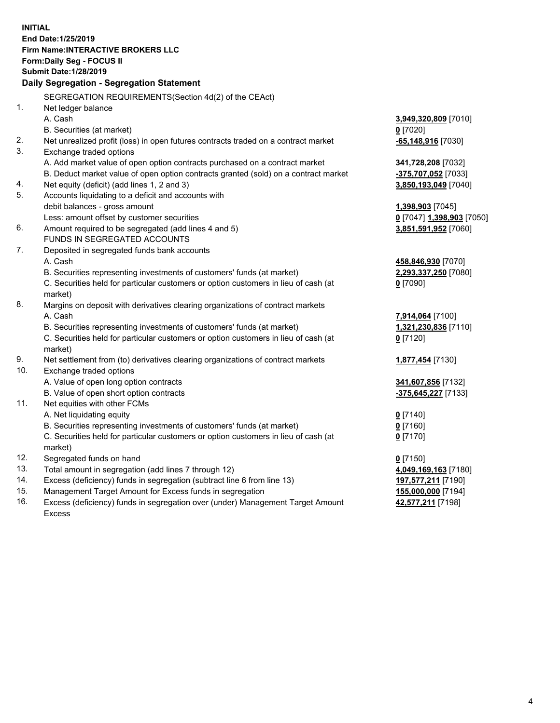**INITIAL End Date:1/25/2019 Firm Name:INTERACTIVE BROKERS LLC Form:Daily Seg - FOCUS II Submit Date:1/28/2019 Daily Segregation - Segregation Statement** SEGREGATION REQUIREMENTS(Section 4d(2) of the CEAct) 1. Net ledger balance A. Cash **3,949,320,809** [7010] B. Securities (at market) **0** [7020] 2. Net unrealized profit (loss) in open futures contracts traded on a contract market **-65,148,916** [7030] 3. Exchange traded options A. Add market value of open option contracts purchased on a contract market **341,728,208** [7032] B. Deduct market value of open option contracts granted (sold) on a contract market **-375,707,052** [7033] 4. Net equity (deficit) (add lines 1, 2 and 3) **3,850,193,049** [7040] 5. Accounts liquidating to a deficit and accounts with debit balances - gross amount **1,398,903** [7045] Less: amount offset by customer securities **0** [7047] **1,398,903** [7050] 6. Amount required to be segregated (add lines 4 and 5) **3,851,591,952** [7060] FUNDS IN SEGREGATED ACCOUNTS 7. Deposited in segregated funds bank accounts A. Cash **458,846,930** [7070] B. Securities representing investments of customers' funds (at market) **2,293,337,250** [7080] C. Securities held for particular customers or option customers in lieu of cash (at market) **0** [7090] 8. Margins on deposit with derivatives clearing organizations of contract markets A. Cash **7,914,064** [7100] B. Securities representing investments of customers' funds (at market) **1,321,230,836** [7110] C. Securities held for particular customers or option customers in lieu of cash (at market) **0** [7120] 9. Net settlement from (to) derivatives clearing organizations of contract markets **1,877,454** [7130] 10. Exchange traded options A. Value of open long option contracts **341,607,856** [7132] B. Value of open short option contracts **-375,645,227** [7133] 11. Net equities with other FCMs A. Net liquidating equity **0** [7140] B. Securities representing investments of customers' funds (at market) **0** [7160] C. Securities held for particular customers or option customers in lieu of cash (at market) **0** [7170] 12. Segregated funds on hand **0** [7150] 13. Total amount in segregation (add lines 7 through 12) **4,049,169,163** [7180] 14. Excess (deficiency) funds in segregation (subtract line 6 from line 13) **197,577,211** [7190] 15. Management Target Amount for Excess funds in segregation **155,000,000** [7194] **42,577,211** [7198]

16. Excess (deficiency) funds in segregation over (under) Management Target Amount Excess